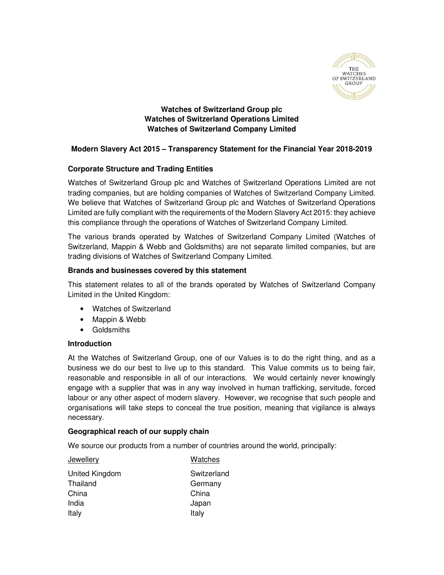

**Watches of Switzerland Group plc Watches of Switzerland Operations Limited Watches of Switzerland Company Limited** 

# **Modern Slavery Act 2015 – Transparency Statement for the Financial Year 2018-2019**

# **Corporate Structure and Trading Entities**

Watches of Switzerland Group plc and Watches of Switzerland Operations Limited are not trading companies, but are holding companies of Watches of Switzerland Company Limited. We believe that Watches of Switzerland Group plc and Watches of Switzerland Operations Limited are fully compliant with the requirements of the Modern Slavery Act 2015: they achieve this compliance through the operations of Watches of Switzerland Company Limited.

The various brands operated by Watches of Switzerland Company Limited (Watches of Switzerland, Mappin & Webb and Goldsmiths) are not separate limited companies, but are trading divisions of Watches of Switzerland Company Limited.

#### **Brands and businesses covered by this statement**

This statement relates to all of the brands operated by Watches of Switzerland Company Limited in the United Kingdom:

- Watches of Switzerland
- Mappin & Webb
- Goldsmiths

#### **Introduction**

At the Watches of Switzerland Group, one of our Values is to do the right thing, and as a business we do our best to live up to this standard. This Value commits us to being fair, reasonable and responsible in all of our interactions. We would certainly never knowingly engage with a supplier that was in any way involved in human trafficking, servitude, forced labour or any other aspect of modern slavery. However, we recognise that such people and organisations will take steps to conceal the true position, meaning that vigilance is always necessary.

#### **Geographical reach of our supply chain**

We source our products from a number of countries around the world, principally:

Jewellery

| Jewellery      | Watches     |
|----------------|-------------|
| United Kingdom | Switzerland |
| Thailand       | Germany     |
| China          | China       |
| India          | Japan       |
| Italy          | Italy       |
|                |             |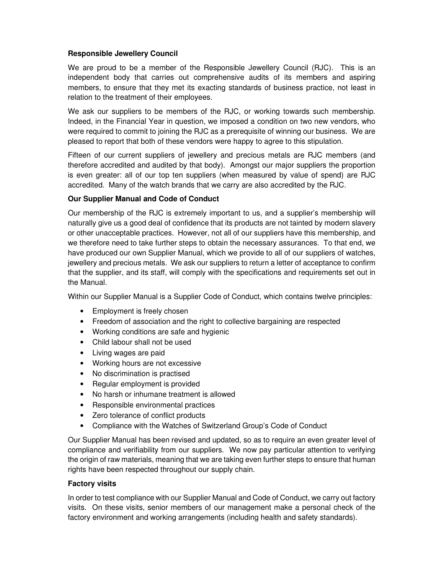## **Responsible Jewellery Council**

We are proud to be a member of the Responsible Jewellery Council (RJC). This is an independent body that carries out comprehensive audits of its members and aspiring members, to ensure that they met its exacting standards of business practice, not least in relation to the treatment of their employees.

We ask our suppliers to be members of the RJC, or working towards such membership. Indeed, in the Financial Year in question, we imposed a condition on two new vendors, who were required to commit to joining the RJC as a prerequisite of winning our business. We are pleased to report that both of these vendors were happy to agree to this stipulation.

Fifteen of our current suppliers of jewellery and precious metals are RJC members (and therefore accredited and audited by that body). Amongst our major suppliers the proportion is even greater: all of our top ten suppliers (when measured by value of spend) are RJC accredited. Many of the watch brands that we carry are also accredited by the RJC.

#### **Our Supplier Manual and Code of Conduct**

Our membership of the RJC is extremely important to us, and a supplier's membership will naturally give us a good deal of confidence that its products are not tainted by modern slavery or other unacceptable practices. However, not all of our suppliers have this membership, and we therefore need to take further steps to obtain the necessary assurances. To that end, we have produced our own Supplier Manual, which we provide to all of our suppliers of watches, jewellery and precious metals. We ask our suppliers to return a letter of acceptance to confirm that the supplier, and its staff, will comply with the specifications and requirements set out in the Manual.

Within our Supplier Manual is a Supplier Code of Conduct, which contains twelve principles:

- Employment is freely chosen
- Freedom of association and the right to collective bargaining are respected
- Working conditions are safe and hygienic
- Child labour shall not be used
- Living wages are paid
- Working hours are not excessive
- No discrimination is practised
- Regular employment is provided
- No harsh or inhumane treatment is allowed
- Responsible environmental practices
- Zero tolerance of conflict products
- Compliance with the Watches of Switzerland Group's Code of Conduct

Our Supplier Manual has been revised and updated, so as to require an even greater level of compliance and verifiability from our suppliers. We now pay particular attention to verifying the origin of raw materials, meaning that we are taking even further steps to ensure that human rights have been respected throughout our supply chain.

#### **Factory visits**

In order to test compliance with our Supplier Manual and Code of Conduct, we carry out factory visits. On these visits, senior members of our management make a personal check of the factory environment and working arrangements (including health and safety standards).